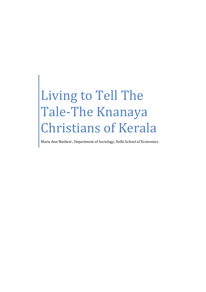# Living to Tell The Tale-The Knanaya Christians of Kerala

Maria Ann Mathew , Department of Sociology, Delhi School of Economics.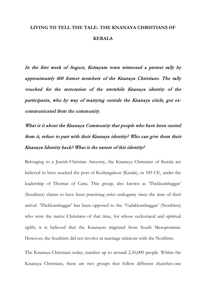## **LIVING TO TELL THE TALE- THE KNANAYA CHRISTIANS OF KERALA**

In the first week of August, Kottayam town witnessed a protest rally by approximately 600 former members of the Knanaya Christians. The rally vouched for the restoration of the erstwhile Knanaya identity of the participants, who by way of marrying outside the Knanaya circle, got excommunicated from the community.

What is it about the Knanaya Community that people who have been ousted from it, refuse to part with their Knanaya identity? Who can give them their Knanaya Identity back? What is the nature of this identity?

Belonging to a Jewish-Christian Ancestry, the Knanaya Christians of Kerala are believed to have reached the port of Kodungaloor (Kerala), in 345 CE, under the leadership of Thomas of Cana. This group, also known as 'Thekkumbaggar' (Southists) claims to have been practising strict endogamy since the time of their arrival. 'Thekkumbaggar' has been opposed to the 'Vadakkumbaggar' (Northists) who were the native Christians of that time, for whose ecclestiacal and spiritual uplift, it is believed that the Knanayas migrated from South Mesopotamia. However, the Southists did not involve in marriage relations with the Northists.

The Knanaya Christians today, number up to around 2,50,000 people. Within the Knanaya Christians, there are two groups that follow different churches-one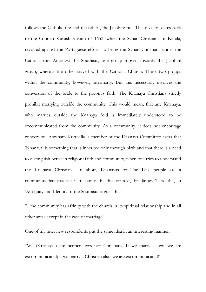follows the Catholic rite and the other , the Jacobite rite. This division dates back to the Coonen Kurush Satyam of 1653, when the Syrian Christians of Kerala, revolted against the Portuguese efforts to bring the Syrian Christians under the Catholic rite. Amongst the Southists, one group moved towards the Jacobite group, whereas the other stayed with the Catholic Church. These two groups within the community, however, intermarry. But this necessarily involves the conversion of the bride to the groom's faith. The Knanaya Christians strictly prohibit marrying outside the community. This would mean, that any Knanaya, who marries outside the Knanaya fold is immediately understood to be excommunicated from the community. As a community, it does not encourage conversion .Abraham Kuruvilla, a member of the Knanaya Committee avers that 'Knanaya' is something that is inherited only through birth and that there is a need to distinguish between religion/faith and community, when one tries to understand the Knanaya Christians. In short, Knanayas or The Kna people are a community,that practise Christianity. In this context, Fr. James Thodathil, in 'Antiquity and Identity of the Southists' argues thus:

"...the community has affinity with the church in its spiritual relationship and in all other areas except in the case of marriage"

One of my interview respondents put the same idea in an interesting manner:

"We (Knanayas) are neither Jews nor Christians. If we marry a Jew, we are excommunicated; if we marry a Christian also, we are excommunicated!"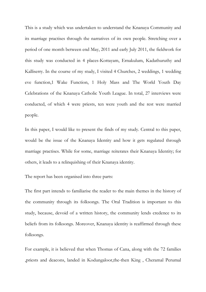This is a study which was undertaken to understand the Knanaya Community and its marriage practises through the narratives of its own people. Stretching over a period of one month between end May, 2011 and early July 2011, the fieldwork for this study was conducted in 4 places-Kottayam, Ernakulum, Kadathuruthy and Kalliserry. In the course of my study, I visited 4 Churches, 2 weddings, 1 wedding eve function,1 Wake Function, 1 Holy Mass and The World Youth Day Celebrations of the Knanaya Catholic Youth League. In total, 27 interviews were conducted, of which 4 were priests, ten were youth and the rest were married people.

In this paper, I would like to present the finds of my study. Central to this paper, would be the issue of the Knanaya Identity and how it gets regulated through marriage practises. While for some, marriage reiterates their Knanaya Identity; for others, it leads to a relinquishing of their Knanaya identity.

The report has been organised into three parts:

The first part intends to familiarise the reader to the main themes in the history of the community through its folksongs. The Oral Tradition is important to this study, because, devoid of a written history, the community lends credence to its beliefs from its folksongs. Moreover, Knanaya identity is reaffirmed through these folksongs.

For example, it is believed that when Thomas of Cana, along with the 72 families ,priests and deacons, landed in Kodungaloor,the-then King , Cheramal Perumal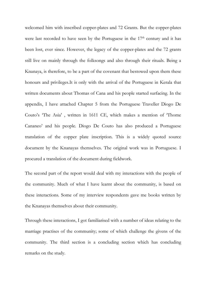welcomed him with inscribed copper-plates and 72 Grants. But the copper-plates were last recorded to have seen by the Portuguese in the 17<sup>th</sup> century and it has been lost, ever since. However, the legacy of the copper-plates and the 72 grants still live on mainly through the folksongs and also through their rituals. Being a Knanaya, is therefore, to be a part of the covenant that bestowed upon them these honours and privileges.It is only with the arrival of the Portuguese in Kerala that written documents about Thomas of Cana and his people started surfacing. In the appendix, I have attached Chapter 5 from the Portuguese Traveller Diogo De Couto's 'The Asia' , written in 1611 CE, which makes a mention of 'Thome Cananeo' and his people. Diogo De Couto has also produced a Portuguese translation of the copper plate inscription. This is a widely quoted source document by the Knanayas themselves. The original work was in Portuguese. I procured a translation of the document during fieldwork.

The second part of the report would deal with my interactions with the people of the community. Much of what I have learnt about the community, is based on these interactions. Some of my interview respondents gave me books written by the Knanayas themselves about their community.

Through these interactions, I got familiarised with a number of ideas relating to the marriage practises of the community; some of which challenge the givens of the community. The third section is a concluding section which has concluding remarks on the study.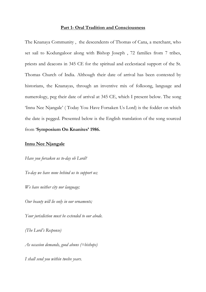#### **Part 1- Oral Tradition and Consciousness**

The Knanaya Community , the descendents of Thomas of Cana, a merchant, who set sail to Kodungaloor along with Bishop Joseph , 72 families from 7 tribes, priests and deacons in 345 CE for the spiritual and ecclestiacal support of the St. Thomas Church of India. Although their date of arrival has been contested by historians, the Knanayas, through an inventive mix of folksong, language and numerology, peg their date of arrival at 345 CE, which I present below. The song 'Innu Nee Njangale' ( Today You Have Forsaken Us Lord) is the fodder on which the date is pegged. Presented below is the English translation of the song sourced from '**Symposium On Knanites' 1986.**

#### **Innu Nee Njangale**

*Have you forsaken us to-day oh Lord?*

*To-day we have none behind us to support us;*

*We have neither city nor language;*

*Our beauty will lie only in our ornaments;*

*Your jurisdiction must be extended to our abode.*

*(The Lord's Response)*

*As occasion demands, good abuns (=bishops)*

*I shall send you within twelve years.*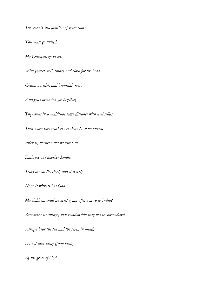*The seventy-two families of seven clans,*

*You must go united.*

*My Children, go in joy.*

*With Jacket, veil, rosary and cloth for the head,*

*Chain, wristlet, and beautiful cross,*

*And good provision got together,*

*They went in a multitude some distance with umbrellas*

*Then when they reached sea-shore to go on board,*

*Friends, masters and relatives all*

*Embrace one another kindly.*

*Tears are on the chest, and it is wet;*

*None is witness but God.*

*My children, shall we meet again after you go to India?*

*Remember us always, that relationship may not be surrendered,*

*Always bear the ten and the seven in mind;*

*Do not turn away (from faith)*

*By the grace of God,*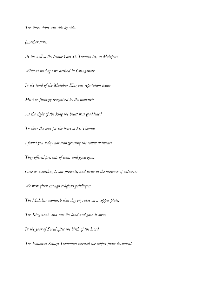*The three ships sail side by side.*

*(another tune)*

*By the will of the triune God St. Thomas (is) in Mylapore Without mishaps we arrived in Cranganore. In the land of the Malabar King our reputation today Must be fittingly recognised by the monarch. At the sight of the king the heart was gladdened To clear the way for the heirs of St. Thomas I found you today not transgressing the commandments. They offered presents of coins and good gems. Give us according to our presents, and write in the presence of witnesses. We were given enough religious privileges; The Malabar monarch that day engraves on a copper plate. The King went and saw the land and gave it away*

*The honoured Kinayi Thomman received the copper plate document.*

*In the year of Soval after the birth of the Lord,*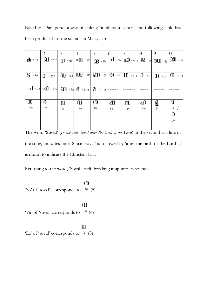|  |  |  |                                           |  |  | Based on 'Paralperu', a way of linking numbers to letters, the following table has |  |
|--|--|--|-------------------------------------------|--|--|------------------------------------------------------------------------------------|--|
|  |  |  | been produced for the sounds in Malayalam |  |  |                                                                                    |  |

|               | $\overline{2}$ | $\mathfrak{Z}$ | $\overline{4}$                                                                                        | 5                | 6       |                                                                                                                            | 8        | 9        | $\theta$          |
|---------------|----------------|----------------|-------------------------------------------------------------------------------------------------------|------------------|---------|----------------------------------------------------------------------------------------------------------------------------|----------|----------|-------------------|
| —მი - ka      |                |                | $\Omega$ - kha $\Omega$ - ga $\Omega$ - gh                                                            |                  |         | $\omega$ $\omega$ $\sim$ $\omega$ $\sim$ $\omega$ $\sim$ $\omega$ $\sim$ $\omega$ $\omega$ $\sim$ $\omega$ $\sim$ $\omega$ |          |          |                   |
| $S$ ta $0$    | - tha          |                | $\mathbf{u}$ da $\mathbf{u}$ db cth $\mathbf{m}$ of $\mathbf{m}$ ta $\mathbf{u}$ that $\mathbf{B}$ dd |                  |         |                                                                                                                            |          |          | (U) - dh (M) - na |
| $\Omega$ - pa | $n \Box$ - pha |                | $\mathbf{m}$ - be $\mathbf{g}$ - bha                                                                  | $\Omega$<br>- ma |         |                                                                                                                            |          |          |                   |
| ⋓<br>ya       | 0<br>ra        | 0.<br>la       | വ<br>va                                                                                               | Ø<br>śa          | ഷ<br>şa | w<br>sa                                                                                                                    | ഹ<br>ha. | ള<br>-ļa | G<br>₫<br>0<br>ŗa |

The word **'Soval'** (*In the year Soval after the birth of the Lord*) in the second last line of the song, indicates time. Since 'Soval' is followed by 'after the birth of the Lord' it is meant to indicate the Christian Era.

Returning to the word, 'Soval' itself, breaking it up into its sounds,

## $\omega$ 'So' of 'soval' corresponds to  $\sin$  (5)

## $\Omega$ 'Va' of 'soval' corresponds to  $\sqrt[3]{a}$  (4)

### $\mathbf{p}$

'La' of 'soval' corresponds to  $|a|$  (3)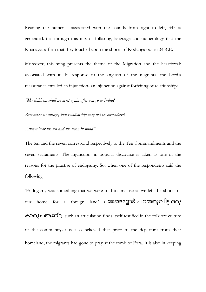Reading the numerals associated with the sounds from right to left, 345 is generated.It is through this mix of folksong, language and numerology that the Knanayas affirm that they touched upon the shores of Kodungaloor in 345CE.

Moreover, this song presents the theme of the Migration and the heartbreak associated with it. In response to the anguish of the migrants, the Lord's reassurance entailed an injunction- an injunction against forfeiting of relationships.

*"My children, shall we meet again after you go to India?*

*Remember us always, that relationship may not be surrendered,*

*Always bear the ten and the seven in mind"*

The ten and the seven correspond respectively to the Ten Commandments and the seven sacraments. The injunction, in popular discourse is taken as one of the reasons for the practise of endogamy. So, when one of the respondents said the following

'Endogamy was something that we were told to practise as we left the shores of our home for a foreign land' ("ഞങ്ങളോട് പറഞ്ഞുവിട്ട ഒരു കാര്യം ആണ്"), such an articulation finds itself testified in the folklore culture of the community.It is also believed that prior to the departure from their homeland, the migrants had gone to pray at the tomb of Ezra. It is also in keeping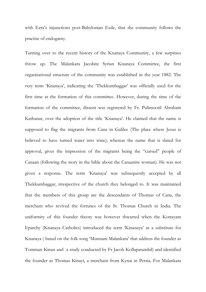with Ezra's injunctions post-Babylonian Exile, that the community follows the practise of endogamy.

Turning over to the recent history of the Knanaya Community, a few surprises throw up. The Malankara Jacobite Syrian Knanaya Committee, the first organisational structure of the community was established in the year 1882. The very term 'Knanaya', indicating the 'Thekkumbaggar' was officially used for the first time at the formation of this committee. However, during the time of the formation of the committee, dissent was registered by Fr. Pulimootil Abraham Kathanar, over the adoption of the title 'Knanaya'. He claimed that the name is supposed to flag the migrants from Cana in Galilee (The place where Jesus is believed to have turned water into wine); whereas the name that is slated for approval, gives the impression of the migrants being the "cursed" people of Canaan (following the story in the bible about the Canaanite woman). He was not given a response. The term 'Knanaya' was subsequently accepted by all Thekkumbaggar, irrespective of the church they belonged to. It was maintained that the members of this group are the descendants of Thomas of Cana, the merchant who revived the fortunes of the St. Thomas Church in India. The uniformity of this founder theory was however thwarted when the Kottayam Eparchy (Knanaya Catholics) introduced the term 'Kinanaya' as a substitute for Knanaya ( based on the folk song 'Munnam Malankara' that address the founder as Tomman Kinan and a study conducted by Fr Jacob Kollaparambil) and identified the founder as Thomas Kinayi, a merchant from Kynai in Persia. For Malankara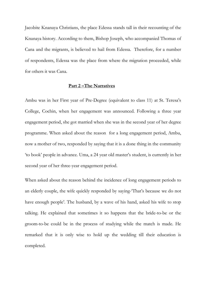Jacobite Knanaya Christians, the place Edessa stands tall in their recounting of the Knanaya history. According to them, Bishop Joseph, who accompanied Thomas of Cana and the migrants, is believed to hail from Edessa. Therefore, for a number of respondents, Edessa was the place from where the migration proceeded, while for others it was Cana.

#### **Part 2 –The Narratives**

Ambu was in her First year of Pre-Degree (equivalent to class 11) at St. Teresa's College, Cochin, when her engagement was announced. Following a three year engagement period, she got married when she was in the second year of her degree programme. When asked about the reason for a long engagement period, Ambu, now a mother of two, responded by saying that it is a done thing in the community 'to book' people in advance. Uma, a 24 year old master's student, is currently in her second year of her three-year engagement period.

When asked about the reason behind the incidence of long engagement periods to an elderly couple, the wife quickly responded by saying-'That's because we do not have enough people'. The husband, by a wave of his hand, asked his wife to stop talking. He explained that sometimes it so happens that the bride-to-be or the groom-to-be could be in the process of studying while the match is made. He remarked that it is only wise to hold up the wedding till their education is completed.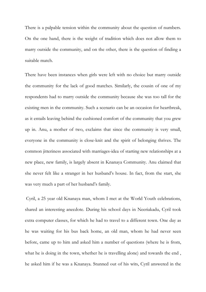There is a palpable tension within the community about the question of numbers. On the one hand, there is the weight of tradition which does not allow them to marry outside the community, and on the other, there is the question of finding a suitable match.

There have been instances when girls were left with no choice but marry outside the community for the lack of good matches. Similarly, the cousin of one of my respondents had to marry outside the community because she was too tall for the existing men in the community. Such a scenario can be an occasion for heartbreak, as it entails leaving behind the cushioned comfort of the community that you grew up in. Anu, a mother of two, exclaims that since the community is very small, everyone in the community is close-knit and the spirit of belonging thrives. The common jitteriness associated with marriages-idea of starting new relationships at a new place, new family, is largely absent in Knanaya Community. Anu claimed that she never felt like a stranger in her husband's house. In fact, from the start, she was very much a part of her husband's family.

Cyril, a 25 year old Knanaya man, whom I met at the World Youth celebrations, shared an interesting anecdote. During his school days in Neeriakadu, Cyril took extra computer classes, for which he had to travel to a different town. One day as he was waiting for his bus back home, an old man, whom he had never seen before, came up to him and asked him a number of questions (where he is from, what he is doing in the town, whether he is travelling alone) and towards the end , he asked him if he was a Knanaya. Stunned out of his wits, Cyril answered in the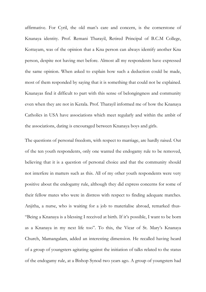affirmative. For Cyril, the old man's care and concern, is the cornerstone of Knanaya identity. Prof. Remani Tharayil, Retired Principal of B.C.M College, Kottayam, was of the opinion that a Kna person can always identify another Kna person, despite not having met before. Almost all my respondents have expressed the same opinion. When asked to explain how such a deduction could be made, most of them responded by saying that it is something that could not be explained. Knanayas find it difficult to part with this sense of belongingness and community even when they are not in Kerala. Prof. Tharayil informed me of how the Knanaya Catholics in USA have associations which meet regularly and within the ambit of the associations, dating is encouraged between Knanaya boys and girls.

The questions of personal freedom, with respect to marriage, are hardly raised. Out of the ten youth respondents, only one wanted the endogamy rule to be removed, believing that it is a question of personal choice and that the community should not interfere in matters such as this. All of my other youth respondents were very positive about the endogamy rule, although they did express concerns for some of their fellow mates who were in distress with respect to finding adequate matches. Anjitha, a nurse, who is waiting for a job to materialise abroad, remarked thus- "Being a Knanaya is a blessing I received at birth. If it's possible, I want to be born as a Knanaya in my next life too". To this, the Vicar of St. Mary's Knanaya Church, Mamangalam, added an interesting dimension. He recalled having heard of a group of youngsters agitating against the initiation of talks related to the status of the endogamy rule, at a Bishop Synod two years ago. A group of youngsters had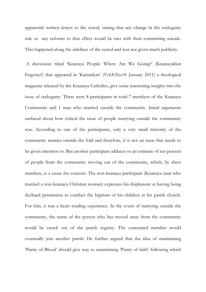apparently written letters to the synod, stating that any change in the endogamy rule or any reforms to that effect would be met with their committing suicide. This happened along the sidelines of the synod and was not given much publicity.

A discussion titled 'Knanaya People: Where Are We Going?' (Knanayakkar Engottu?) that appeared in 'Karunikan' (Vol.8.No.01 January 2011) a theological magazine released by the Knanaya Catholics, give some interesting insights into the issue of endogamy. There were 8 participants in total-7 members of the Knanaya Community and 1 man who married outside the community. Initial arguments surfaced about how critical the issue of people marrying outside the community was. According to one of the participants, only a very small minority of the community marries outside the fold and therefore, it is not an issue that needs to be given attention to. But another participant adduces to an estimate of ten percent of people from the community moving out of the community, which, by sheer numbers, is a cause for concern. The non-knanaya participant (Knanaya man who married a non-knanaya Christian woman) expresses his displeasure at having being declined permission to conduct the baptism of his children at his parish church. For him, it was a heart rending experience. In the event of marrying outside the community, the name of the person who has moved away from the community would be struck out of the parish registry. The concerned member would eventually join another parish. He further argued that the idea of maintaining 'Purity of Blood' should give way to maintaining 'Purity of faith' following which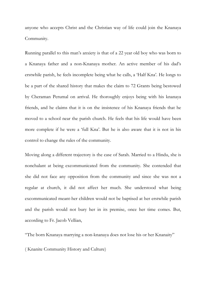anyone who accepts Christ and the Christian way of life could join the Knanaya Community.

Running parallel to this man's anxiety is that of a 22 year old boy who was born to a Knanaya father and a non-Knanaya mother. An active member of his dad's erstwhile parish, he feels incomplete being what he calls, a 'Half Kna'. He longs to be a part of the shared history that makes the claim to 72 Grants being bestowed by Cheraman Perumal on arrival. He thoroughly enjoys being with his knanaya friends, and he claims that it is on the insistence of his Knanaya friends that he moved to a school near the parish church. He feels that his life would have been more complete if he were a 'full Kna'. But he is also aware that it is not in his control to change the rules of the community.

Moving along a different trajectory is the case of Sarah. Married to a Hindu, she is nonchalant at being excommunicated from the community. She contended that she did not face any opposition from the community and since she was not a regular at church, it did not affect her much. She understood what being excommunicated meant-her children would not be baptised at her erstwhile parish and the parish would not bury her in its premise, once her time comes. But, according to Fr. Jacob Vellian,

"The born Knanaya marrying a non-knanaya does not lose his or her Knanaity"

( Knanite Community History and Culture)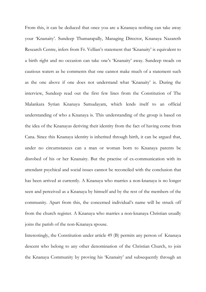From this, it can be deduced that once you are a Knanaya nothing can take away your 'Knanaity'. Sundeep Thamarapally, Managing Director, Knanaya Nazareth Research Centre, infers from Fr. Vellian's statement that 'Knanaity' is equivalent to a birth right and no occasion can take one's 'Knanaity' away. Sundeep treads on cautious waters as he comments that one cannot make much of a statement such as the one above if one does not understand what 'Knanaity' is. During the interview, Sundeep read out the first few lines from the Constitution of The Malankara Syrian Knanaya Samudayam, which lends itself to an official understanding of who a Knanaya is. This understanding of the group is based on the idea of the Knanayas deriving their identity from the fact of having come from Cana. Since this Knanaya identity is inherited through birth, it can be argued that, under no circumstances can a man or woman born to Knanaya parents be disrobed of his or her Knanaity. But the practise of ex-communication with its attendant psychical and social issues cannot be reconciled with the conclusion that has been arrived at currently. A Knanaya who marries a non-knanaya is no longer seen and perceived as a Knanaya by himself and by the rest of the members of the community. Apart from this, the concerned individual's name will be struck off from the church register. A Knanaya who marries a non-knanaya Christian usually joins the parish of the non-Knanaya spouse.

Interestingly, the Constitution under article 49 (B) permits any person of Knanaya descent who belong to any other denomination of the Christian Church, to join the Knanaya Community by proving his 'Knanaity' and subsequently through an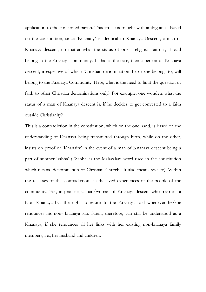application to the concerned parish. This article is fraught with ambiguities. Based on the constitution, since 'Knanaity' is identical to Knanaya Descent, a man of Knanaya descent, no matter what the status of one's religious faith is, should belong to the Knanaya community. If that is the case, then a person of Knanaya descent, irrespective of which 'Christian denomination' he or she belongs to, will belong to the Knanaya Community. Here, what is the need to limit the question of faith to other Christian denominations only? For example, one wonders what the status of a man of Knanaya descent is, if he decides to get converted to a faith outside Christianity?

This is a contradiction in the constitution, which on the one hand, is based on the understanding of Knanaya being transmitted through birth, while on the other, insists on proof of 'Knanaity' in the event of a man of Knanaya descent being a part of another 'sabha' ( 'Sabha' is the Malayalam word used in the constitution which means 'denomination of Christian Church'. It also means society). Within the recesses of this contradiction, lie the lived experiences of the people of the community. For, in practise, a man/woman of Knanaya descent who marries a Non Knanaya has the right to return to the Knanaya fold whenever he/she renounces his non- knanaya kin. Sarah, therefore, can still be understood as a Knanaya, if she renounces all her links with her existing non-knanaya family members, i.e., her husband and children.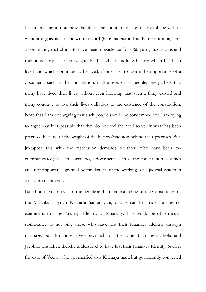It is interesting to note how the life of the community takes its own shape with or without cognisance of the written word (here understood as the constitution). For a community that claims to have been in existence for 1666 years, its customs and traditions carry a certain weight. In the light of its long history which has been lived and which continues to be lived, if one tries to locate the importance of a document, such as the constitution, in the lives of its people, one gathers that many have lived their lives without even knowing that such a thing existed and many continue to live their lives oblivious to the existence of the constitution. Note that I am not arguing that such people should be condemned but I am trying to argue that it is possible that they do not feel the need to verify what has been practised because of the weight of the history/tradition behind their practises. But, juxtapose this with the restoration demands of those who have been excommunicated; in such a scenario, a document, such as the constitution, assumes an air of importance granted by the dictates of the workings of a judicial system in a modern democracy.

Based on the narratives of the people and an understanding of the Constitution of the Malankara Syrian Knanaya Samudayam, a case can be made for the reexamination of the Knanaya Identity or Knanaity. This would be of particular significance to not only those who have lost their Knanaya Identity through marriage, but also those have converted to faiths, other than the Catholic and Jacobite Churches, thereby understood to have lost their Knanaya Identity. Such is the case of Veena, who got married to a Knanaya man, but got recently converted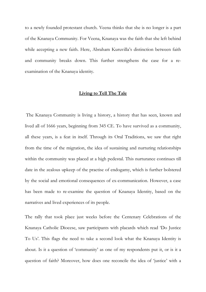to a newly founded protestant church. Veena thinks that she is no longer is a part of the Knanaya Community. For Veena, Knanaya was the faith that she left behind while accepting a new faith. Here, Abraham Kuruvilla's distinction between faith and community breaks down. This further strengthens the case for a reexamination of the Knanaya identity.

#### **Living to Tell The Tale**

The Knanaya Community is living a history, a history that has seen, known and lived all of 1666 years, beginning from 345 CE. To have survived as a community, all these years, is a feat in itself. Through its Oral Traditions, we saw that right from the time of the migration, the idea of sustaining and nurturing relationships within the community was placed at a high pedestal. This nurturance continues till date in the zealous upkeep of the practise of endogamy, which is further bolstered by the social and emotional consequences of ex-communication. However, a case has been made to re-examine the question of Knanaya Identity, based on the narratives and lived experiences of its people.

The rally that took place just weeks before the Centenary Celebrations of the Knanaya Catholic Diocese, saw participants with placards which read 'Do Justice To Us'. This flags the need to take a second look what the Knanaya Identity is about. Is it a question of 'community' as one of my respondents put it, or is it a question of faith? Moreover, how does one reconcile the idea of 'justice' with a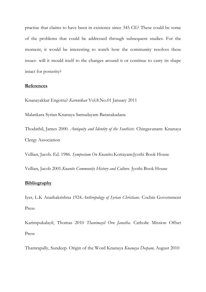practise that claims to have been in existence since 345 CE? These could be some of the problems that could be addressed through subsequent studies. For the moment, it would be interesting to watch how the community resolves these issues- will it mould itself to the changes around it or continue to carry its shape intact for posterity?

#### **References**

Knanayakkar Engottu? *Karunikan* Vol.8.No.01 January 2011

Malankara Syrian Knanaya Samudayam Baranakadana

Thodathil, James 2000. *Antiquity and Identity of the Southists*. Chingavanam: Knanaya Clergy Association

Vellian, Jacob. Ed. 1986. *Symposium On Knanites.*Kottayam:Jyothi Book House

Vellian, Jacob 2001*.Knanite Community History and Culture.* Jyothi Book House

#### **Bibliography**

Iyer, L.K Anathakrishna 1924.*Anthropology of Syrian Christians*. Cochin Government Press

Karimpukalayil, Thomas 2010 *Thanimayil Oru Janatha*. Catholic Mission Offset Press

Thamrapally, Sundeep. Origin of the Word Knanaya *Knanaya Deepam,* August 2010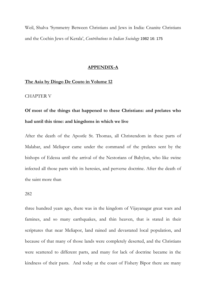Weil, Shalva 'Symmetry Between Christians and Jews in India: Cnanite Christians and the Cochin Jews of Kerala', *Contributions to Indian Sociology* 1982 16: 175

#### **APPENDIX-A**

#### **The Asia by Diogo De Couto in Volume 12**

#### CHAPTER V

# **Of most of the things that happened to these Christians: and prelates who had until this time: and kingdoms in which we live**

After the death of the Apostle St. Thomas, all Christendom in these parts of Malabar, and Meliapor came under the command of the prelates sent by the bishops of Edessa until the arrival of the Nestorians of Babylon, who like swine infected all those parts with its heresies, and perverse doctrine. After the death of the saint more than

#### 282

three hundred years ago, there was in the kingdom of Vijayanagar great wars and famines, and so many earthquakes, and thin heaven, that is stated in their scriptures that near Meliapor, land rained and devastated local population, and because of that many of those lands were completely deserted, and the Christians were scattered to different parts, and many for lack of doctrine became in the kindness of their pasts. And today at the coast of Fishery Bipor there are many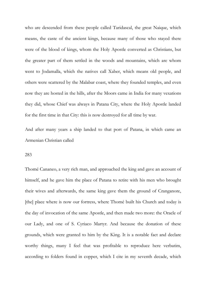who are descended from these people called Taridascal, the great Naique, which means, the caste of the ancient kings, because many of those who stayed there were of the blood of kings, whom the Holy Apostle converted as Christians, but the greater part of them settled in the woods and mountains, which are whom went to Jodamalla, which the natives call Xaber, which means old people, and others were scattered by the Malabar coast, where they founded temples, and even now they are hosted in the hills, after the Moors came in India for many vexations they did, whose Chief was always in Patana City, where the Holy Apostle landed for the first time in that City: this is now destroyed for all time by war.

And after many years a ship landed to that port of Patana, in which came an Armenian Christian called

#### 283

Thomé Cananeo, a very rich man, and approached the king and gave an account of himself, and he gave him the place of Patana to retire with his men who brought their wives and afterwards, the same king gave them the ground of Cranganore, [the] place where is now our fortress, where Thomé built his Church and today is the day of invocation of the same Apostle, and then made two more: the Oracle of our Lady, and one of S. Cyriaco Martyr. And because the donation of these grounds, which were granted to him by the King. It is a notable fact and declare worthy things, many I feel that was profitable to reproduce here verbatim, according to folders found in copper, which I cite in my seventh decade, which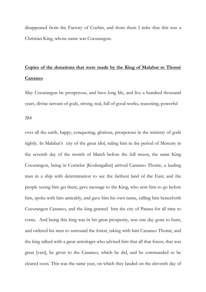disappeared from the Factory of Cochin, and from them I infer that this was a Christian King, whose name was Cocurangon.

# **Copies of the donations that were made by the King of Malabar to Thomé Cananeo**

May Cocurangon be prosperous, and have long life, and live a hundred thousand years, divine servant of gods, strong, real, full of good works, reasoning, powerful

284

over all the earth, happy, conquering, glorious, prosperous in the ministry of gods rightly. In Malabar's city of the great idol, ruling him in the period of Mercury in the seventh day of the month of March before the full moon, the same King Cocurangon, being in Cornelur [Kodungallur] arrived Cananeo Thome, a leading man in a ship with determination to see the farthest land of the East; and the people seeing him get there, gave message to the King, who sent him to go before him, spoke with him amicably, and gave him his own name, calling him henceforth Cocurangon Cananeo, and the king granted him the city of Patana for all time to come. And being this king was in his great prosperity, was one day gone to hunt, and ordered his men to surround the forest, taking with him Cananeo Thomé, and the king talked with a great astrologer who advised him that all that forest, that was great [vast], be given to the Cananeo, which he did, and he commanded to be cleared soon. This was the same year, on which they landed on the eleventh day of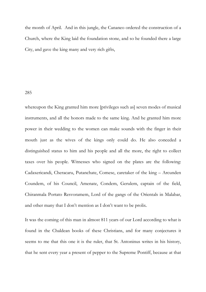the month of April. And in this jungle, the Cananeo ordered the construction of a Church, where the King laid the foundation stone, and so he founded there a large City, and gave the king many and very rich gifts,

#### 285

whereupon the King granted him more [privileges such as] seven modes of musical instruments, and all the honors made to the same king. And he granted him more power in their wedding to the women can make sounds with the finger in their mouth just as the wives of the kings only could do. He also conceded a distinguished status to him and his people and all the more, the right to collect taxes over his people. Witnesses who signed on the plates are the following: Cadaxericandi, Cheracaru, Putanchate, Comese, caretaker of the king – Arcunden Coundem, of his Council, Amenate, Condem, Gerulem, captain of the field, Chiranmala Portato Resvoramem, Lord of the gangs of the Orientals in Malabar, and other many that I don't mention as I don't want to be prolix.

It was the coming of this man in almost 811 years of our Lord according to what is found in the Chaldean books of these Christians, and for many conjectures it seems to me that this one it is the ruler, that St. Antoninus writes in his history, that he sent every year a present of pepper to the Supreme Pontiff, because at that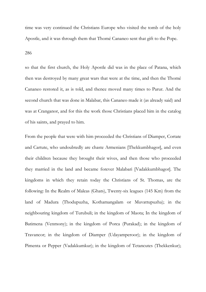time was very continued the Christians Europe who visited the tomb of the holy Apostle, and it was through them that Thomé Cananeo sent that gift to the Pope.

286

so that the first church, the Holy Apostle did was in the place of Patana, which then was destroyed by many great wars that were at the time, and then the Thomé Cananeo restored it, as is told, and thence moved many times to Parur. And the second church that was done in Malabar, this Cananeo made it (as already said) and was at Cranganor, and for this the work those Christians placed him in the catalog of his saints, and prayed to him.

From the people that were with him proceeded the Christians of Diamper, Cortate and Cartute, who undoubtedly are chaste Armenians [Thekkumbhagor], and even their children because they brought their wives, and then those who proceeded they married in the land and became forever Malabari [Vadakkumbhagor]. The kingdoms in which they retain today the Christians of St. Thomas, are the following: In the Realm of Maleas (Ghats), Twenty-six leagues (145 Km) from the land of Madura (Thodupuzha, Kothamangalam or Muvattupuzha); in the neighbouring kingdom of Turubuli; in the kingdom of Maota; In the kingdom of Batimena (Venmony); in the kingdom of Porca (Purakad); in the kingdom of Travancor; in the kingdom of Diamper (Udayamperoor); in the kingdom of Pimenta or Pepper (Vadakkumkur); in the kingdom of Tetancutes (Thekkenkur);